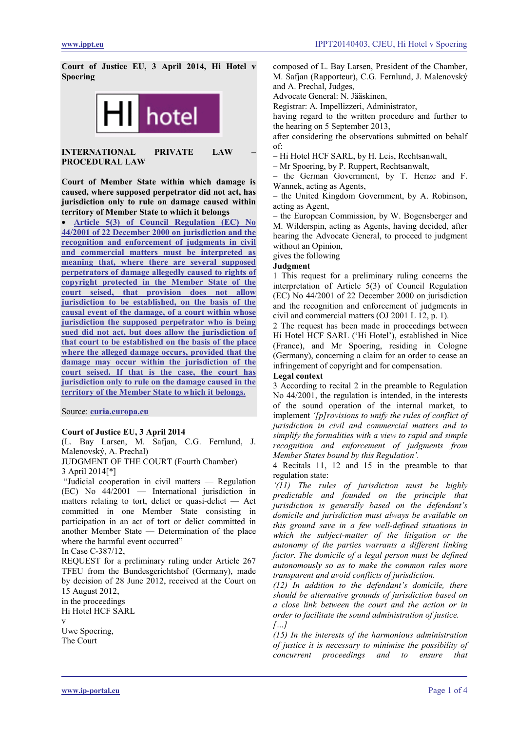**Court of Justice EU, 3 April 2014, Hi Hotel v Spoering**



**INTERNATIONAL PRIVATE LAW – PROCEDURAL LAW**

**Court of Member State within which damage is caused, where supposed perpetrator did not act, has jurisdiction only to rule on damage caused within territory of Member State to which it belongs**

• **[Article 5\(3\) of Council Regulation \(EC\) No](#page-3-0)  [44/2001 of 22 December 2000 on jurisdiction and the](#page-3-0)  [recognition and enforcement of judgments in civil](#page-3-0)  [and commercial matters must be interpreted as](#page-3-0)  [meaning that, where there are several supposed](#page-3-0)  [perpetrators of damage allegedly caused to rights of](#page-3-0)  [copyright protected in the Member State of the](#page-3-0)  [court seised, that provision does not allow](#page-3-0)  [jurisdiction to be established, on the basis of the](#page-3-0)  [causal event of the damage, of a court within whose](#page-3-0)  [jurisdiction the supposed perpetrator who is being](#page-3-0)  [sued did not act, but does allow the jurisdiction of](#page-3-0)  [that court to be established on the basis of the place](#page-3-0)  [where the alleged damage occurs, provided that the](#page-3-0)  [damage may occur within the jurisdiction of the](#page-3-0)  [court seised. If that is the case, the court has](#page-3-0)  [jurisdiction only to rule on the damage caused in the](#page-3-0)  [territory of the Member State to which it belongs.](#page-3-0)**

Source: **[curia.europa.eu](http://curia.europa.eu/juris/liste.jsf?language=en&jur=C,T,F&num=C-387/12&td=ALL)**

### **Court of Justice EU, 3 April 2014**

(L. Bay Larsen, M. Safjan, C.G. Fernlund, J. Malenovský, A. Prechal)

JUDGMENT OF THE COURT (Fourth Chamber) 3 April 2014[\*]

"Judicial cooperation in civil matters — Regulation (EC) No 44/2001 — International jurisdiction in matters relating to tort, delict or quasi-delict — Act committed in one Member State consisting in participation in an act of tort or delict committed in another Member State — Determination of the place where the harmful event occurred"

In Case C-387/12,

REQUEST for a preliminary ruling under Article 267 TFEU from the Bundesgerichtshof (Germany), made by decision of 28 June 2012, received at the Court on 15 August 2012,

in the proceedings Hi Hotel HCF SARL v

Uwe Spoering, The Court

composed of L. Bay Larsen, President of the Chamber, M. Safjan (Rapporteur), C.G. Fernlund, J. Malenovský and A. Prechal, Judges,

Advocate General: N. Jääskinen,

Registrar: A. Impellizzeri, Administrator,

having regard to the written procedure and further to the hearing on 5 September 2013,

after considering the observations submitted on behalf of:

– Hi Hotel HCF SARL, by H. Leis, Rechtsanwalt,

– Mr Spoering, by P. Ruppert, Rechtsanwalt,

– the German Government, by T. Henze and F. Wannek, acting as Agents,

– the United Kingdom Government, by A. Robinson, acting as Agent,

– the European Commission, by W. Bogensberger and M. Wilderspin, acting as Agents, having decided, after hearing the Advocate General, to proceed to judgment without an Opinion,

gives the following

# **Judgment**

1 This request for a preliminary ruling concerns the interpretation of Article 5(3) of Council Regulation (EC) No 44/2001 of 22 December 2000 on jurisdiction and the recognition and enforcement of judgments in civil and commercial matters (OJ 2001 L 12, p. 1).

2 The request has been made in proceedings between Hi Hotel HCF SARL ('Hi Hotel'), established in Nice (France), and Mr Spoering, residing in Cologne (Germany), concerning a claim for an order to cease an infringement of copyright and for compensation. **Legal context**

3 According to recital 2 in the preamble to Regulation No 44/2001, the regulation is intended, in the interests of the sound operation of the internal market, to implement *'[p]rovisions to unify the rules of conflict of jurisdiction in civil and commercial matters and to simplify the formalities with a view to rapid and simple recognition and enforcement of judgments from Member States bound by this Regulation'.*

4 Recitals 11, 12 and 15 in the preamble to that regulation state:

*'(11) The rules of jurisdiction must be highly predictable and founded on the principle that jurisdiction is generally based on the defendant's domicile and jurisdiction must always be available on this ground save in a few well-defined situations in which the subject-matter of the litigation or the autonomy of the parties warrants a different linking factor. The domicile of a legal person must be defined autonomously so as to make the common rules more transparent and avoid conflicts of jurisdiction.*

*(12) In addition to the defendant's domicile, there should be alternative grounds of jurisdiction based on a close link between the court and the action or in order to facilitate the sound administration of justice. […]*

*(15) In the interests of the harmonious administration of justice it is necessary to minimise the possibility of concurrent proceedings and to ensure that*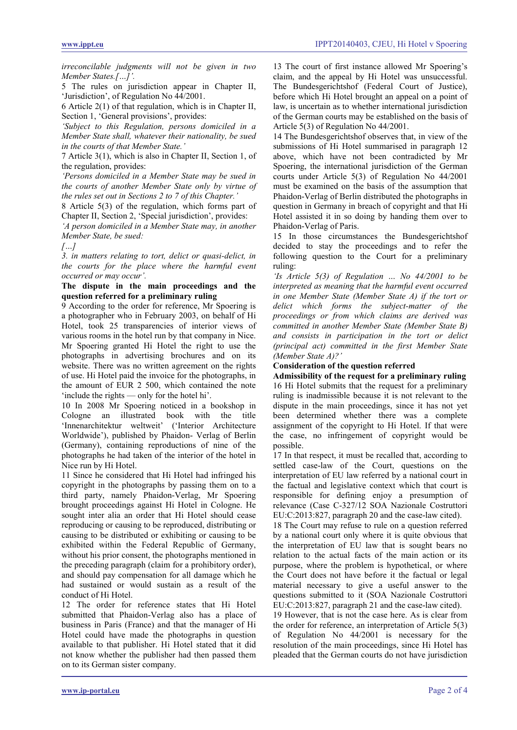*irreconcilable judgments will not be given in two Member States.[…]'.*

5 The rules on jurisdiction appear in Chapter II, 'Jurisdiction', of Regulation No 44/2001.

6 Article 2(1) of that regulation, which is in Chapter II, Section 1, 'General provisions', provides:

*'Subject to this Regulation, persons domiciled in a Member State shall, whatever their nationality, be sued in the courts of that Member State.'*

7 Article 3(1), which is also in Chapter II, Section 1, of the regulation, provides:

*'Persons domiciled in a Member State may be sued in the courts of another Member State only by virtue of the rules set out in Sections 2 to 7 of this Chapter.'*

8 Article 5(3) of the regulation, which forms part of Chapter II, Section 2, 'Special jurisdiction', provides:

*'A person domiciled in a Member State may, in another Member State, be sued:*

*[…]*

*3. in matters relating to tort, delict or quasi-delict, in the courts for the place where the harmful event occurred or may occur'.*

# **The dispute in the main proceedings and the question referred for a preliminary ruling**

9 According to the order for reference, Mr Spoering is a photographer who in February 2003, on behalf of Hi Hotel, took 25 transparencies of interior views of various rooms in the hotel run by that company in Nice. Mr Spoering granted Hi Hotel the right to use the photographs in advertising brochures and on its website. There was no written agreement on the rights of use. Hi Hotel paid the invoice for the photographs, in the amount of EUR 2 500, which contained the note 'include the rights — only for the hotel hi'.

10 In 2008 Mr Spoering noticed in a bookshop in Cologne an illustrated book with the title 'Innenarchitektur weltweit' ('Interior Architecture Worldwide'), published by Phaidon- Verlag of Berlin (Germany), containing reproductions of nine of the photographs he had taken of the interior of the hotel in Nice run by Hi Hotel.

11 Since he considered that Hi Hotel had infringed his copyright in the photographs by passing them on to a third party, namely Phaidon-Verlag, Mr Spoering brought proceedings against Hi Hotel in Cologne. He sought inter alia an order that Hi Hotel should cease reproducing or causing to be reproduced, distributing or causing to be distributed or exhibiting or causing to be exhibited within the Federal Republic of Germany, without his prior consent, the photographs mentioned in the preceding paragraph (claim for a prohibitory order), and should pay compensation for all damage which he had sustained or would sustain as a result of the conduct of Hi Hotel.

12 The order for reference states that Hi Hotel submitted that Phaidon-Verlag also has a place of business in Paris (France) and that the manager of Hi Hotel could have made the photographs in question available to that publisher. Hi Hotel stated that it did not know whether the publisher had then passed them on to its German sister company.

13 The court of first instance allowed Mr Spoering's claim, and the appeal by Hi Hotel was unsuccessful. The Bundesgerichtshof (Federal Court of Justice), before which Hi Hotel brought an appeal on a point of law, is uncertain as to whether international jurisdiction of the German courts may be established on the basis of Article 5(3) of Regulation No 44/2001.

14 The Bundesgerichtshof observes that, in view of the submissions of Hi Hotel summarised in paragraph 12 above, which have not been contradicted by Mr Spoering, the international jurisdiction of the German courts under Article 5(3) of Regulation No 44/2001 must be examined on the basis of the assumption that Phaidon-Verlag of Berlin distributed the photographs in question in Germany in breach of copyright and that Hi Hotel assisted it in so doing by handing them over to Phaidon-Verlag of Paris.

15 In those circumstances the Bundesgerichtshof decided to stay the proceedings and to refer the following question to the Court for a preliminary ruling:

*'Is Article 5(3) of Regulation … No 44/2001 to be interpreted as meaning that the harmful event occurred in one Member State (Member State A) if the tort or delict which forms the subject-matter of the proceedings or from which claims are derived was committed in another Member State (Member State B) and consists in participation in the tort or delict (principal act) committed in the first Member State (Member State A)?'*

# **Consideration of the question referred**

**Admissibility of the request for a preliminary ruling** 16 Hi Hotel submits that the request for a preliminary ruling is inadmissible because it is not relevant to the dispute in the main proceedings, since it has not yet been determined whether there was a complete assignment of the copyright to Hi Hotel. If that were the case, no infringement of copyright would be possible.

17 In that respect, it must be recalled that, according to settled case-law of the Court, questions on the interpretation of EU law referred by a national court in the factual and legislative context which that court is responsible for defining enjoy a presumption of relevance (Case C-327/12 SOA Nazionale Costruttori EU:C:2013:827, paragraph 20 and the case-law cited).

18 The Court may refuse to rule on a question referred by a national court only where it is quite obvious that the interpretation of EU law that is sought bears no relation to the actual facts of the main action or its purpose, where the problem is hypothetical, or where the Court does not have before it the factual or legal material necessary to give a useful answer to the questions submitted to it (SOA Nazionale Costruttori EU:C:2013:827, paragraph 21 and the case-law cited).

19 However, that is not the case here. As is clear from the order for reference, an interpretation of Article 5(3) of Regulation No 44/2001 is necessary for the resolution of the main proceedings, since Hi Hotel has pleaded that the German courts do not have jurisdiction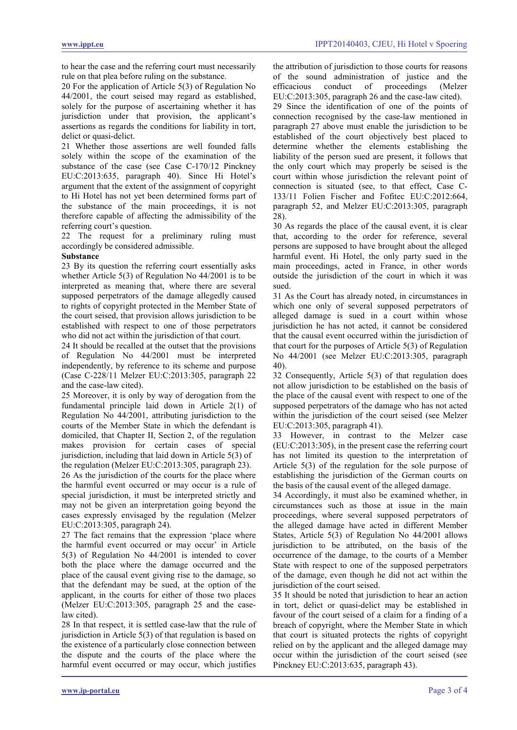to hear the case and the referring court must necessarily rule on that plea before ruling on the substance.

20 For the application of Article 5(3) of Regulation No 44/2001, the court seised may regard as established, solely for the purpose of ascertaining whether it has jurisdiction under that provision, the applicant's assertions as regards the conditions for liability in tort, delict or quasi-delict.

21 Whether those assertions are well founded falls solely within the scope of the examination of the substance of the case (see Case C-170/12 Pinckney EU:C:2013:635, paragraph 40). Since Hi Hotel's argument that the extent of the assignment of copyright to Hi Hotel has not yet been determined forms part of the substance of the main proceedings, it is not therefore capable of affecting the admissibility of the referring court's question.

22 The request for a preliminary ruling must accordingly be considered admissible.

# **Substance**

23 By its question the referring court essentially asks whether Article 5(3) of Regulation No 44/2001 is to be interpreted as meaning that, where there are several supposed perpetrators of the damage allegedly caused to rights of copyright protected in the Member State of the court seised, that provision allows jurisdiction to be established with respect to one of those perpetrators who did not act within the jurisdiction of that court.

24 It should be recalled at the outset that the provisions of Regulation No 44/2001 must be interpreted independently, by reference to its scheme and purpose (Case C-228/11 Melzer EU:C:2013:305, paragraph 22 and the case-law cited).

25 Moreover, it is only by way of derogation from the fundamental principle laid down in Article 2(1) of Regulation No 44/2001, attributing jurisdiction to the courts of the Member State in which the defendant is domiciled, that Chapter II, Section 2, of the regulation makes provision for certain cases of special jurisdiction, including that laid down in Article 5(3) of the regulation (Melzer EU:C:2013:305, paragraph 23).

26 As the jurisdiction of the courts for the place where the harmful event occurred or may occur is a rule of special jurisdiction, it must be interpreted strictly and may not be given an interpretation going beyond the cases expressly envisaged by the regulation (Melzer EU:C:2013:305, paragraph 24).

27 The fact remains that the expression 'place where the harmful event occurred or may occur' in Article 5(3) of Regulation No 44/2001 is intended to cover both the place where the damage occurred and the place of the causal event giving rise to the damage, so that the defendant may be sued, at the option of the applicant, in the courts for either of those two places (Melzer EU:C:2013:305, paragraph 25 and the caselaw cited).

28 In that respect, it is settled case-law that the rule of jurisdiction in Article 5(3) of that regulation is based on the existence of a particularly close connection between the dispute and the courts of the place where the harmful event occurred or may occur, which justifies

the attribution of jurisdiction to those courts for reasons of the sound administration of justice and the efficacious conduct of proceedings (Melzer

EU:C:2013:305, paragraph 26 and the case-law cited). 29 Since the identification of one of the points of connection recognised by the case-law mentioned in paragraph 27 above must enable the jurisdiction to be established of the court objectively best placed to determine whether the elements establishing the liability of the person sued are present, it follows that the only court which may properly be seised is the court within whose jurisdiction the relevant point of connection is situated (see, to that effect, Case C-133/11 Folien Fischer and Fofitec EU:C:2012:664, paragraph 52, and Melzer EU:C:2013:305, paragraph 28).

30 As regards the place of the causal event, it is clear that, according to the order for reference, several persons are supposed to have brought about the alleged harmful event. Hi Hotel, the only party sued in the main proceedings, acted in France, in other words outside the jurisdiction of the court in which it was sued.

31 As the Court has already noted, in circumstances in which one only of several supposed perpetrators of alleged damage is sued in a court within whose jurisdiction he has not acted, it cannot be considered that the causal event occurred within the jurisdiction of that court for the purposes of Article 5(3) of Regulation No 44/2001 (see Melzer EU:C:2013:305, paragraph 40).

32 Consequently, Article 5(3) of that regulation does not allow jurisdiction to be established on the basis of the place of the causal event with respect to one of the supposed perpetrators of the damage who has not acted within the jurisdiction of the court seised (see Melzer EU:C:2013:305, paragraph 41).

33 However, in contrast to the Melzer case (EU:C:2013:305), in the present case the referring court has not limited its question to the interpretation of Article 5(3) of the regulation for the sole purpose of establishing the jurisdiction of the German courts on the basis of the causal event of the alleged damage.

34 Accordingly, it must also be examined whether, in circumstances such as those at issue in the main proceedings, where several supposed perpetrators of the alleged damage have acted in different Member States, Article 5(3) of Regulation No 44/2001 allows jurisdiction to be attributed, on the basis of the occurrence of the damage, to the courts of a Member State with respect to one of the supposed perpetrators of the damage, even though he did not act within the jurisdiction of the court seised.

35 It should be noted that jurisdiction to hear an action in tort, delict or quasi-delict may be established in favour of the court seised of a claim for a finding of a breach of copyright, where the Member State in which that court is situated protects the rights of copyright relied on by the applicant and the alleged damage may occur within the jurisdiction of the court seised (see Pinckney EU:C:2013:635, paragraph 43).